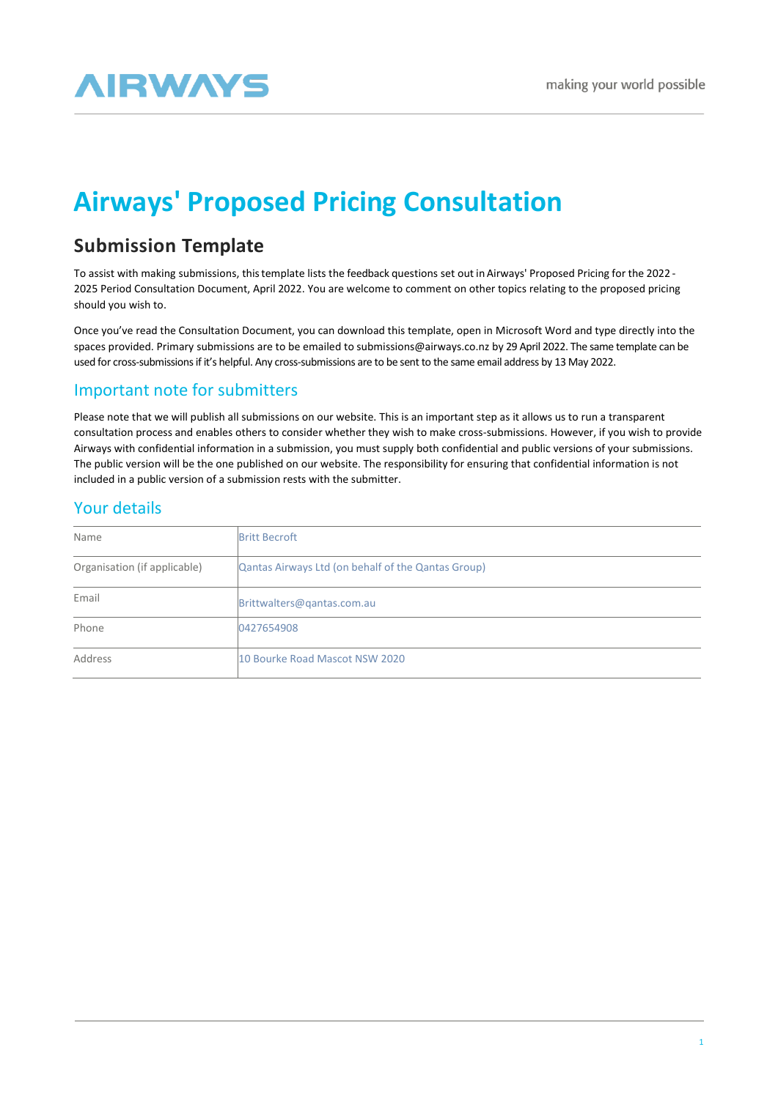# **AIRWAYS**

## **Airways' Proposed Pricing Consultation**

## **Submission Template**

To assist with making submissions, thistemplate lists the feedback questions set out in Airways' Proposed Pricing for the 2022 - 2025 Period Consultation Document, April 2022. You are welcome to comment on other topics relating to the proposed pricing should you wish to.

Once you've read the Consultation Document, you can download this template, open in Microsoft Word and type directly into the spaces provided. Primary submissions are to be emailed to [submissions@airways.co.nz b](mailto:submissions@airways.co.nz)y 29 April 2022. The same template can be used for cross-submissions if it's helpful. Any cross-submissions are to be sent to the same email address by 13 May 2022.

## Important note for submitters

Please note that we will publish all submissions on our website. This is an important step as it allows us to run a transparent consultation process and enables others to consider whether they wish to make cross-submissions. However, if you wish to provide Airways with confidential information in a submission, you must supply both confidential and public versions of your submissions. The public version will be the one published on our website. The responsibility for ensuring that confidential information is not included in a public version of a submission rests with the submitter.

## Your details

| Name                         | <b>Britt Becroft</b>                               |
|------------------------------|----------------------------------------------------|
| Organisation (if applicable) | Qantas Airways Ltd (on behalf of the Qantas Group) |
| Email                        | Brittwalters@gantas.com.au                         |
| Phone                        | 0427654908                                         |
| Address                      | 10 Bourke Road Mascot NSW 2020                     |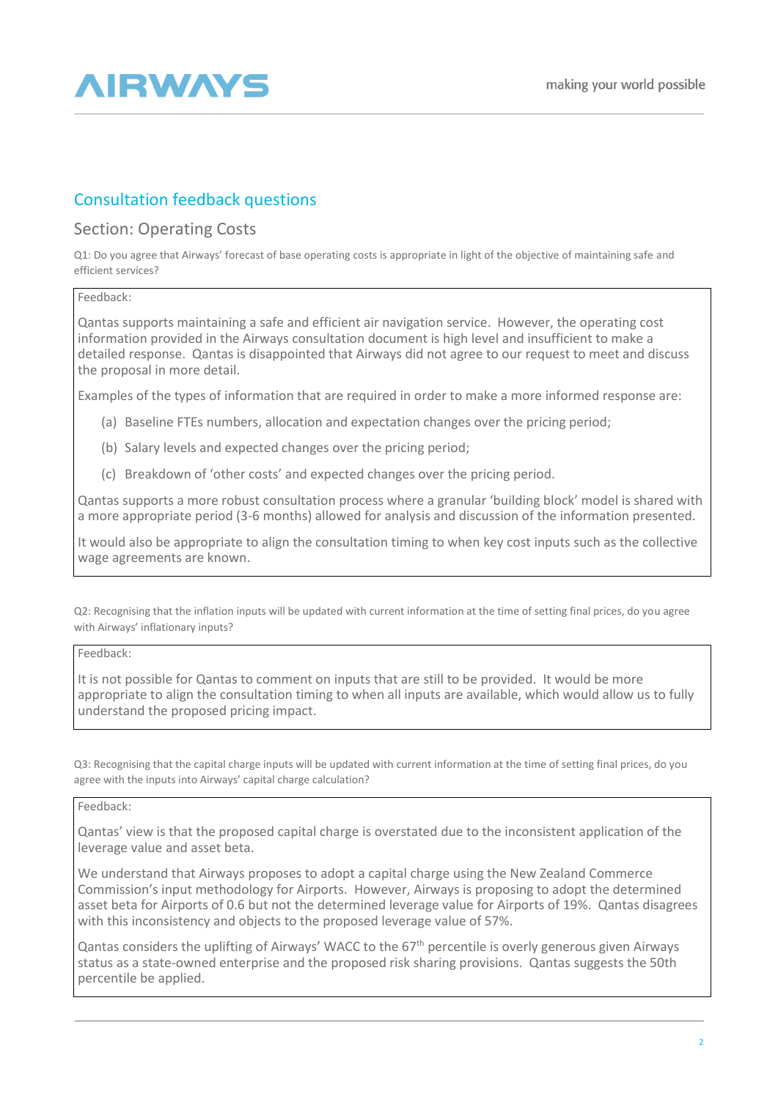

## Consultation feedback questions

### Section: Operating Costs

Q1: Do you agree that Airways' forecast of base operating costs is appropriate in light of the objective of maintaining safe and efficient services?

### Feedback:

Qantas supports maintaining a safe and efficient air navigation service. However, the operating cost information provided in the Airways consultation document is high level and insufficient to make a detailed response. Qantas is disappointed that Airways did not agree to our request to meet and discuss the proposal in more detail.

Examples of the types of information that are required in order to make a more informed response are:

- (a) Baseline FTEs numbers, allocation and expectation changes over the pricing period;
- (b) Salary levels and expected changes over the pricing period;
- (c) Breakdown of 'other costs' and expected changes over the pricing period.

Qantas supports a more robust consultation process where a granular 'building block' model is shared with a more appropriate period (3-6 months) allowed for analysis and discussion of the information presented.

It would also be appropriate to align the consultation timing to when key cost inputs such as the collective wage agreements are known.

Q2: Recognising that the inflation inputs will be updated with current information at the time of setting final prices, do you agree with Airways' inflationary inputs?

### Feedback:

It is not possible for Qantas to comment on inputs that are still to be provided. It would be more appropriate to align the consultation timing to when all inputs are available, which would allow us to fully understand the proposed pricing impact.

Q3: Recognising that the capital charge inputs will be updated with current information at the time of setting final prices, do you agree with the inputs into Airways' capital charge calculation?

#### Feedback:

Qantas' view is that the proposed capital charge is overstated due to the inconsistent application of the leverage value and asset beta.

We understand that Airways proposes to adopt a capital charge using the New Zealand Commerce Commission's input methodology for Airports. However, Airways is proposing to adopt the determined asset beta for Airports of 0.6 but not the determined leverage value for Airports of 19%. Qantas disagrees with this inconsistency and objects to the proposed leverage value of 57%.

Qantas considers the uplifting of Airways' WACC to the 67<sup>th</sup> percentile is overly generous given Airways status as a state-owned enterprise and the proposed risk sharing provisions. Qantas suggests the 50th percentile be applied.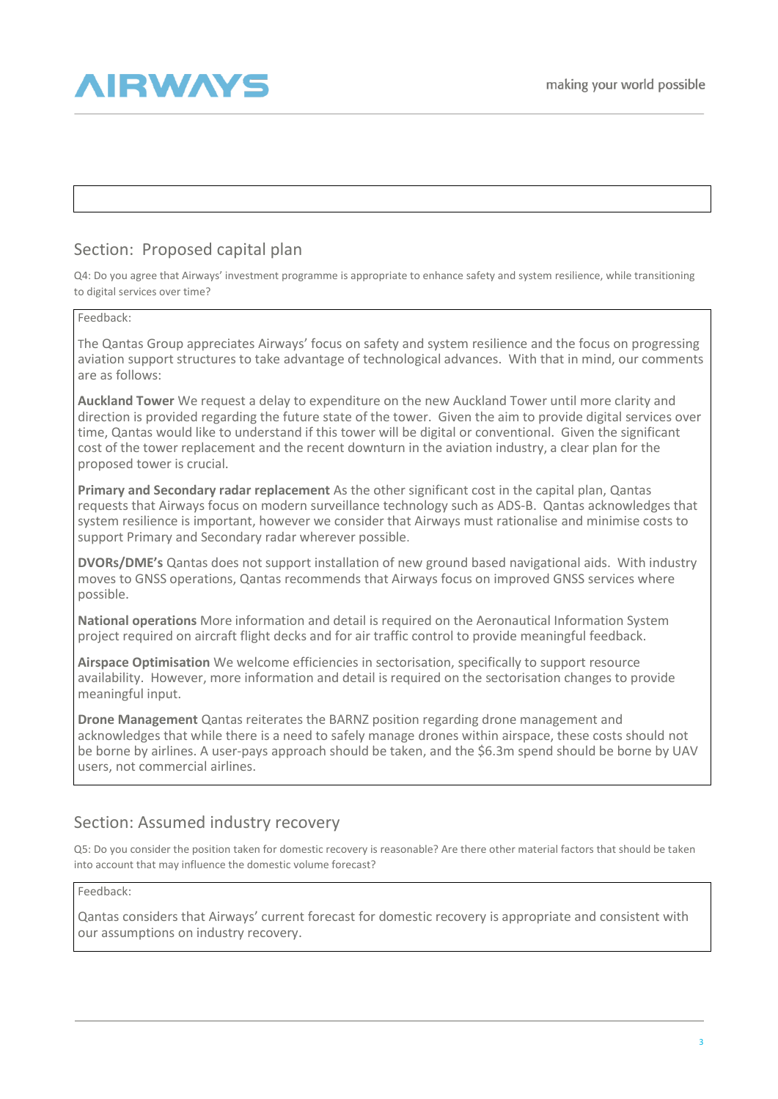## **AIRWAYS**

## Section: Proposed capital plan

Q4: Do you agree that Airways' investment programme is appropriate to enhance safety and system resilience, while transitioning to digital services over time?

### Feedback:

The Qantas Group appreciates Airways' focus on safety and system resilience and the focus on progressing aviation support structures to take advantage of technological advances. With that in mind, our comments are as follows:

**Auckland Tower** We request a delay to expenditure on the new Auckland Tower until more clarity and direction is provided regarding the future state of the tower. Given the aim to provide digital services over time, Qantas would like to understand if this tower will be digital or conventional. Given the significant cost of the tower replacement and the recent downturn in the aviation industry, a clear plan for the proposed tower is crucial.

**Primary and Secondary radar replacement** As the other significant cost in the capital plan, Qantas requests that Airways focus on modern surveillance technology such as ADS-B. Qantas acknowledges that system resilience is important, however we consider that Airways must rationalise and minimise costs to support Primary and Secondary radar wherever possible.

**DVORs/DME's** Qantas does not support installation of new ground based navigational aids. With industry moves to GNSS operations, Qantas recommends that Airways focus on improved GNSS services where possible.

**National operations** More information and detail is required on the Aeronautical Information System project required on aircraft flight decks and for air traffic control to provide meaningful feedback.

**Airspace Optimisation** We welcome efficiencies in sectorisation, specifically to support resource availability. However, more information and detail is required on the sectorisation changes to provide meaningful input.

**Drone Management** Qantas reiterates the BARNZ position regarding drone management and acknowledges that while there is a need to safely manage drones within airspace, these costs should not be borne by airlines. A user-pays approach should be taken, and the \$6.3m spend should be borne by UAV users, not commercial airlines.

### Section: Assumed industry recovery

Q5: Do you consider the position taken for domestic recovery is reasonable? Are there other material factors that should be taken into account that may influence the domestic volume forecast?

### Feedback:

Qantas considers that Airways' current forecast for domestic recovery is appropriate and consistent with our assumptions on industry recovery.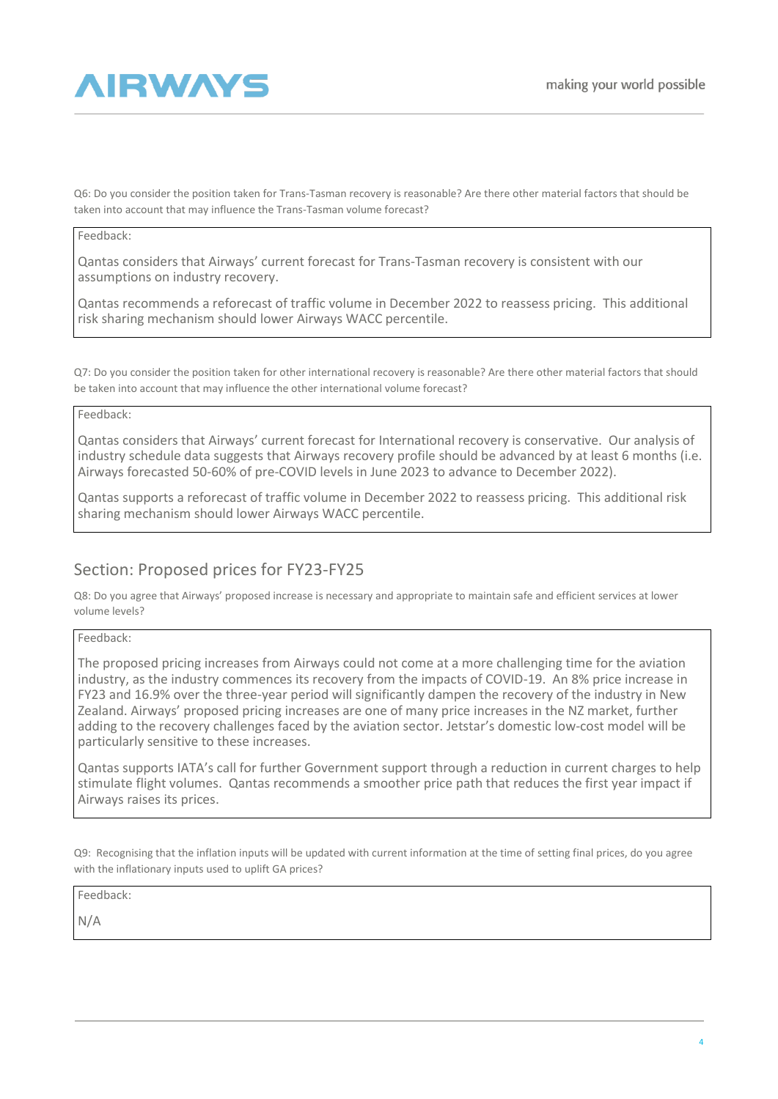

Q6: Do you consider the position taken for Trans-Tasman recovery is reasonable? Are there other material factors that should be taken into account that may influence the Trans-Tasman volume forecast?

#### Feedback:

Qantas considers that Airways' current forecast for Trans-Tasman recovery is consistent with our assumptions on industry recovery.

Qantas recommends a reforecast of traffic volume in December 2022 to reassess pricing. This additional risk sharing mechanism should lower Airways WACC percentile.

Q7: Do you consider the position taken for other international recovery is reasonable? Are there other material factors that should be taken into account that may influence the other international volume forecast?

Feedback:

Qantas considers that Airways' current forecast for International recovery is conservative. Our analysis of industry schedule data suggests that Airways recovery profile should be advanced by at least 6 months (i.e. Airways forecasted 50-60% of pre-COVID levels in June 2023 to advance to December 2022).

Qantas supports a reforecast of traffic volume in December 2022 to reassess pricing. This additional risk sharing mechanism should lower Airways WACC percentile.

### Section: Proposed prices for FY23-FY25

Q8: Do you agree that Airways' proposed increase is necessary and appropriate to maintain safe and efficient services at lower volume levels?

Feedback:

The proposed pricing increases from Airways could not come at a more challenging time for the aviation industry, as the industry commences its recovery from the impacts of COVID-19. An 8% price increase in FY23 and 16.9% over the three-year period will significantly dampen the recovery of the industry in New Zealand. Airways' proposed pricing increases are one of many price increases in the NZ market, further adding to the recovery challenges faced by the aviation sector. Jetstar's domestic low-cost model will be particularly sensitive to these increases.

Qantas supports IATA's call for further Government support through a reduction in current charges to help stimulate flight volumes. Qantas recommends a smoother price path that reduces the first year impact if Airways raises its prices.

Q9: Recognising that the inflation inputs will be updated with current information at the time of setting final prices, do you agree with the inflationary inputs used to uplift GA prices?

Feedback:

N/A